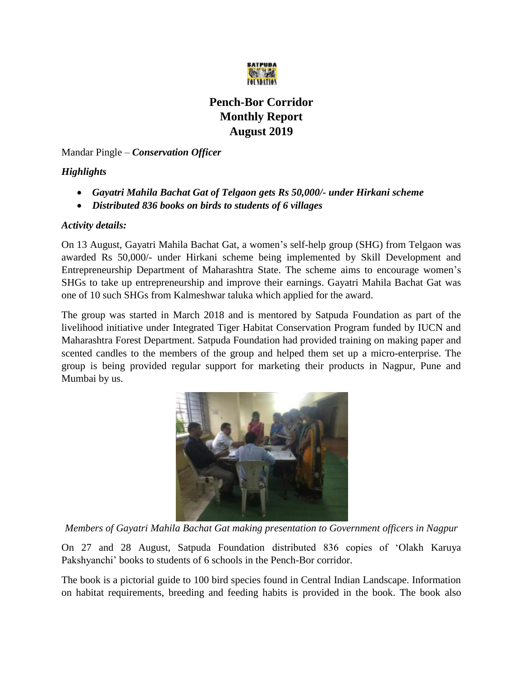

## **Pench-Bor Corridor Monthly Report August 2019**

Mandar Pingle – *Conservation Officer*

## *Highlights*

- *Gayatri Mahila Bachat Gat of Telgaon gets Rs 50,000/- under Hirkani scheme*
- *Distributed 836 books on birds to students of 6 villages*

## *Activity details:*

On 13 August, Gayatri Mahila Bachat Gat, a women's self-help group (SHG) from Telgaon was awarded Rs 50,000/- under Hirkani scheme being implemented by Skill Development and Entrepreneurship Department of Maharashtra State. The scheme aims to encourage women's SHGs to take up entrepreneurship and improve their earnings. Gayatri Mahila Bachat Gat was one of 10 such SHGs from Kalmeshwar taluka which applied for the award.

The group was started in March 2018 and is mentored by Satpuda Foundation as part of the livelihood initiative under Integrated Tiger Habitat Conservation Program funded by IUCN and Maharashtra Forest Department. Satpuda Foundation had provided training on making paper and scented candles to the members of the group and helped them set up a micro-enterprise. The group is being provided regular support for marketing their products in Nagpur, Pune and Mumbai by us.



*Members of Gayatri Mahila Bachat Gat making presentation to Government officers in Nagpur*

On 27 and 28 August, Satpuda Foundation distributed 836 copies of 'Olakh Karuya Pakshyanchi' books to students of 6 schools in the Pench-Bor corridor.

The book is a pictorial guide to 100 bird species found in Central Indian Landscape. Information on habitat requirements, breeding and feeding habits is provided in the book. The book also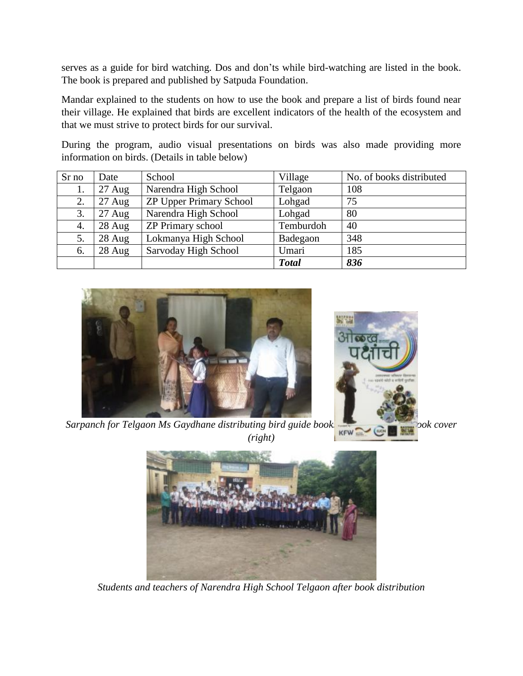serves as a guide for bird watching. Dos and don'ts while bird-watching are listed in the book. The book is prepared and published by Satpuda Foundation.

Mandar explained to the students on how to use the book and prepare a list of birds found near their village. He explained that birds are excellent indicators of the health of the ecosystem and that we must strive to protect birds for our survival.

During the program, audio visual presentations on birds was also made providing more information on birds. (Details in table below)

| Sr no | Date             | School                         | Village      | No. of books distributed |
|-------|------------------|--------------------------------|--------------|--------------------------|
| 1.    | $27 \text{ Aug}$ | Narendra High School           | Telgaon      | 108                      |
| 2.    | $27 \text{ Aug}$ | <b>ZP Upper Primary School</b> | Lohgad       | 75                       |
| 3.    | $27 \text{ Aug}$ | Narendra High School           | Lohgad       | 80                       |
| 4.    | 28 Aug           | <b>ZP Primary school</b>       | Temburdoh    | 40                       |
| 5.    | 28 Aug           | Lokmanya High School           | Badegaon     | 348                      |
| 6.    | 28 Aug           | Sarvoday High School           | Umari        | 185                      |
|       |                  |                                | <b>Total</b> | 836                      |



*Sarpanch for Telgaon Ms Gaydhane distributing bird guide books KFW* **Cover** *(left)*, *book cover (left)*, *book cover (left)*, *book cover (left)*, *book cover (left)*, *book cover (left)*, *book cover (l (right)*



*Students and teachers of Narendra High School Telgaon after book distribution*